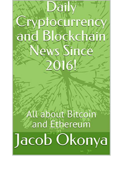## Daily ryptocurrenc and Blockchair News Since 20161

## Il about Bitcoin and Ethereum Jacob Okonya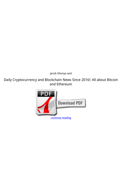*Jacob Okonya and*

**Daily Cryptocurrency and Blockchain News Since 2016!: All about Bitcoin and Ethereum**

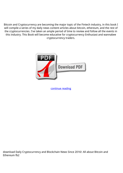Bitcoin and Cryptocurrency are becoming the major topic of the Fintech industry, in this book I will compile a series of my daily news content articles about bitcoin, ethereum, and the rest of the cryptocurrencies. I've taken an ample period of time to review and follow all the events in this industry. This Book will become educative for cryptocurrency Enthusiast and wannabee cryptocurrency traders.



[continue reading](http://bit.ly/2Tge8Fv)

download Daily Cryptocurrency and Blockchain News Since 2016!: All about Bitcoin and Ethereum fb2